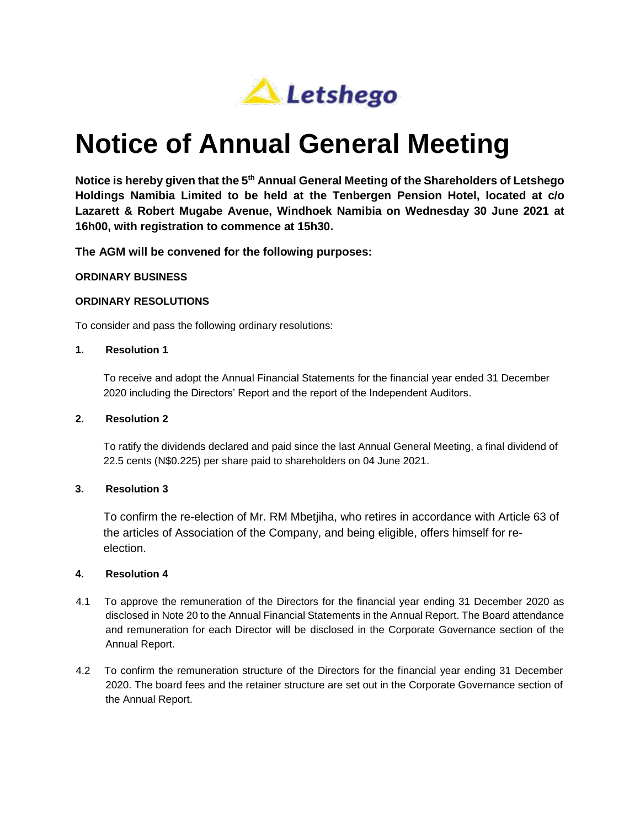

# **Notice of Annual General Meeting**

**Notice is hereby given that the 5th Annual General Meeting of the Shareholders of Letshego Holdings Namibia Limited to be held at the Tenbergen Pension Hotel, located at c/o Lazarett & Robert Mugabe Avenue, Windhoek Namibia on Wednesday 30 June 2021 at 16h00, with registration to commence at 15h30.**

**The AGM will be convened for the following purposes:** 

# **ORDINARY BUSINESS**

# **ORDINARY RESOLUTIONS**

To consider and pass the following ordinary resolutions:

#### **1. Resolution 1**

To receive and adopt the Annual Financial Statements for the financial year ended 31 December 2020 including the Directors' Report and the report of the Independent Auditors.

#### **2. Resolution 2**

To ratify the dividends declared and paid since the last Annual General Meeting, a final dividend of 22.5 cents (N\$0.225) per share paid to shareholders on 04 June 2021.

# **3. Resolution 3**

To confirm the re-election of Mr. RM Mbetjiha, who retires in accordance with Article 63 of the articles of Association of the Company, and being eligible, offers himself for reelection.

# **4. Resolution 4**

- 4.1 To approve the remuneration of the Directors for the financial year ending 31 December 2020 as disclosed in Note 20 to the Annual Financial Statements in the Annual Report. The Board attendance and remuneration for each Director will be disclosed in the Corporate Governance section of the Annual Report.
- 4.2 To confirm the remuneration structure of the Directors for the financial year ending 31 December 2020. The board fees and the retainer structure are set out in the Corporate Governance section of the Annual Report.